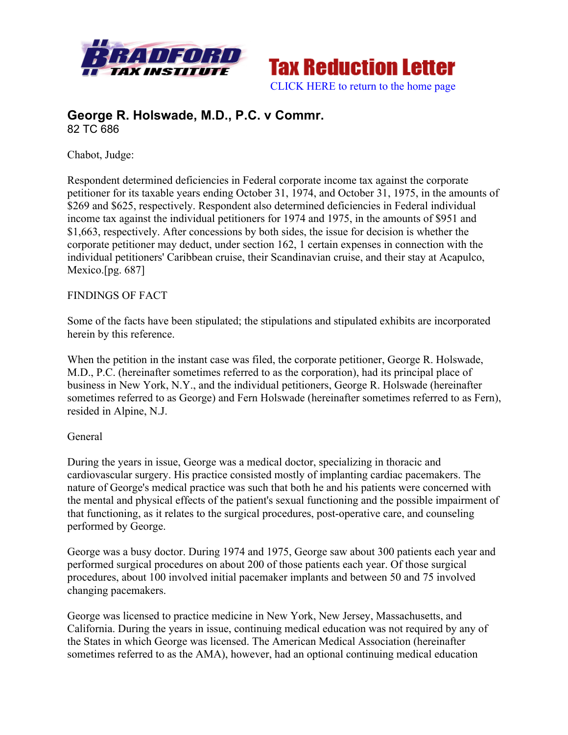



# **George R. Holswade, M.D., P.C. v Commr.** 82 TC 686

Chabot, Judge:

Respondent determined deficiencies in Federal corporate income tax against the corporate petitioner for its taxable years ending October 31, 1974, and October 31, 1975, in the amounts of \$269 and \$625, respectively. Respondent also determined deficiencies in Federal individual income tax against the individual petitioners for 1974 and 1975, in the amounts of \$951 and \$1,663, respectively. After concessions by both sides, the issue for decision is whether the corporate petitioner may deduct, under section 162, 1 certain expenses in connection with the individual petitioners' Caribbean cruise, their Scandinavian cruise, and their stay at Acapulco, Mexico.[pg. 687]

# FINDINGS OF FACT

Some of the facts have been stipulated; the stipulations and stipulated exhibits are incorporated herein by this reference.

When the petition in the instant case was filed, the corporate petitioner, George R. Holswade, M.D., P.C. (hereinafter sometimes referred to as the corporation), had its principal place of business in New York, N.Y., and the individual petitioners, George R. Holswade (hereinafter sometimes referred to as George) and Fern Holswade (hereinafter sometimes referred to as Fern), resided in Alpine, N.J.

# General

During the years in issue, George was a medical doctor, specializing in thoracic and cardiovascular surgery. His practice consisted mostly of implanting cardiac pacemakers. The nature of George's medical practice was such that both he and his patients were concerned with the mental and physical effects of the patient's sexual functioning and the possible impairment of that functioning, as it relates to the surgical procedures, post-operative care, and counseling performed by George.

George was a busy doctor. During 1974 and 1975, George saw about 300 patients each year and performed surgical procedures on about 200 of those patients each year. Of those surgical procedures, about 100 involved initial pacemaker implants and between 50 and 75 involved changing pacemakers.

George was licensed to practice medicine in New York, New Jersey, Massachusetts, and California. During the years in issue, continuing medical education was not required by any of the States in which George was licensed. The American Medical Association (hereinafter sometimes referred to as the AMA), however, had an optional continuing medical education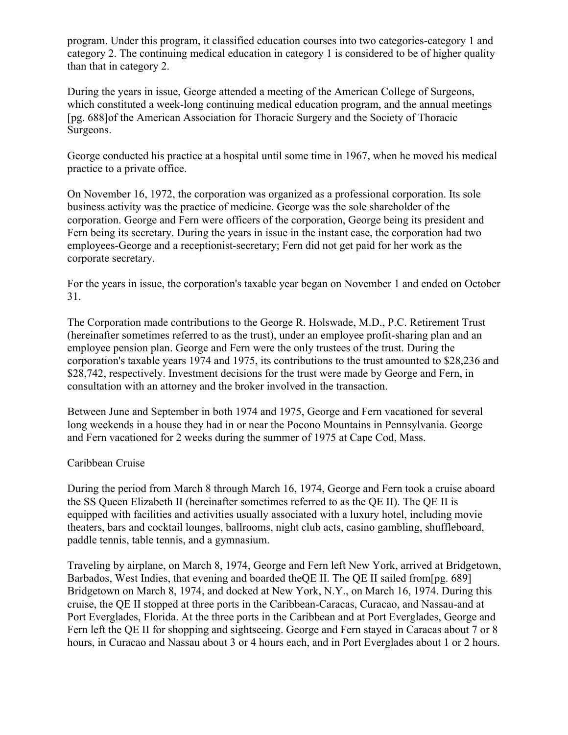program. Under this program, it classified education courses into two categories-category 1 and category 2. The continuing medical education in category 1 is considered to be of higher quality than that in category 2.

During the years in issue, George attended a meeting of the American College of Surgeons, which constituted a week-long continuing medical education program, and the annual meetings [pg. 688]of the American Association for Thoracic Surgery and the Society of Thoracic Surgeons.

George conducted his practice at a hospital until some time in 1967, when he moved his medical practice to a private office.

On November 16, 1972, the corporation was organized as a professional corporation. Its sole business activity was the practice of medicine. George was the sole shareholder of the corporation. George and Fern were officers of the corporation, George being its president and Fern being its secretary. During the years in issue in the instant case, the corporation had two employees-George and a receptionist-secretary; Fern did not get paid for her work as the corporate secretary.

For the years in issue, the corporation's taxable year began on November 1 and ended on October 31.

The Corporation made contributions to the George R. Holswade, M.D., P.C. Retirement Trust (hereinafter sometimes referred to as the trust), under an employee profit-sharing plan and an employee pension plan. George and Fern were the only trustees of the trust. During the corporation's taxable years 1974 and 1975, its contributions to the trust amounted to \$28,236 and \$28,742, respectively. Investment decisions for the trust were made by George and Fern, in consultation with an attorney and the broker involved in the transaction.

Between June and September in both 1974 and 1975, George and Fern vacationed for several long weekends in a house they had in or near the Pocono Mountains in Pennsylvania. George and Fern vacationed for 2 weeks during the summer of 1975 at Cape Cod, Mass.

# Caribbean Cruise

During the period from March 8 through March 16, 1974, George and Fern took a cruise aboard the SS Queen Elizabeth II (hereinafter sometimes referred to as the QE II). The QE II is equipped with facilities and activities usually associated with a luxury hotel, including movie theaters, bars and cocktail lounges, ballrooms, night club acts, casino gambling, shuffleboard, paddle tennis, table tennis, and a gymnasium.

Traveling by airplane, on March 8, 1974, George and Fern left New York, arrived at Bridgetown, Barbados, West Indies, that evening and boarded the QE II. The QE II sailed from [pg. 689] Bridgetown on March 8, 1974, and docked at New York, N.Y., on March 16, 1974. During this cruise, the QE II stopped at three ports in the Caribbean-Caracas, Curacao, and Nassau-and at Port Everglades, Florida. At the three ports in the Caribbean and at Port Everglades, George and Fern left the QE II for shopping and sightseeing. George and Fern stayed in Caracas about 7 or 8 hours, in Curacao and Nassau about 3 or 4 hours each, and in Port Everglades about 1 or 2 hours.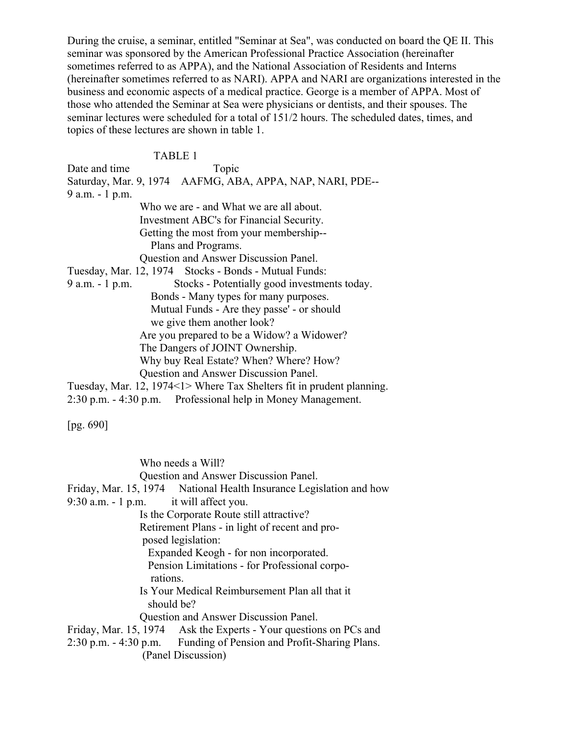During the cruise, a seminar, entitled "Seminar at Sea", was conducted on board the QE II. This seminar was sponsored by the American Professional Practice Association (hereinafter sometimes referred to as APPA), and the National Association of Residents and Interns (hereinafter sometimes referred to as NARI). APPA and NARI are organizations interested in the business and economic aspects of a medical practice. George is a member of APPA. Most of those who attended the Seminar at Sea were physicians or dentists, and their spouses. The seminar lectures were scheduled for a total of 151/2 hours. The scheduled dates, times, and topics of these lectures are shown in table 1.

#### TABLE 1

Date and time Topic Topic Saturday, Mar. 9, 1974 AAFMG, ABA, APPA, NAP, NARI, PDE-- 9 a.m. - 1 p.m. Who we are - and What we are all about. Investment ABC's for Financial Security. Getting the most from your membership-- Plans and Programs. Question and Answer Discussion Panel. Tuesday, Mar. 12, 1974 Stocks - Bonds - Mutual Funds: 9 a.m. - 1 p.m. Stocks - Potentially good investments today. Bonds - Many types for many purposes. Mutual Funds - Are they passe' - or should we give them another look? Are you prepared to be a Widow? a Widower? The Dangers of JOINT Ownership. Why buy Real Estate? When? Where? How? Question and Answer Discussion Panel. Tuesday, Mar. 12, 1974<1> Where Tax Shelters fit in prudent planning. 2:30 p.m. - 4:30 p.m. Professional help in Money Management.

[pg. 690]

 Who needs a Will? Question and Answer Discussion Panel. Friday, Mar. 15, 1974 National Health Insurance Legislation and how 9:30 a.m. - 1 p.m. it will affect you. Is the Corporate Route still attractive? Retirement Plans - in light of recent and pro posed legislation: Expanded Keogh - for non incorporated. Pension Limitations - for Professional corpo rations. Is Your Medical Reimbursement Plan all that it should be? Question and Answer Discussion Panel. Friday, Mar. 15, 1974 Ask the Experts - Your questions on PCs and 2:30 p.m. - 4:30 p.m. Funding of Pension and Profit-Sharing Plans. (Panel Discussion)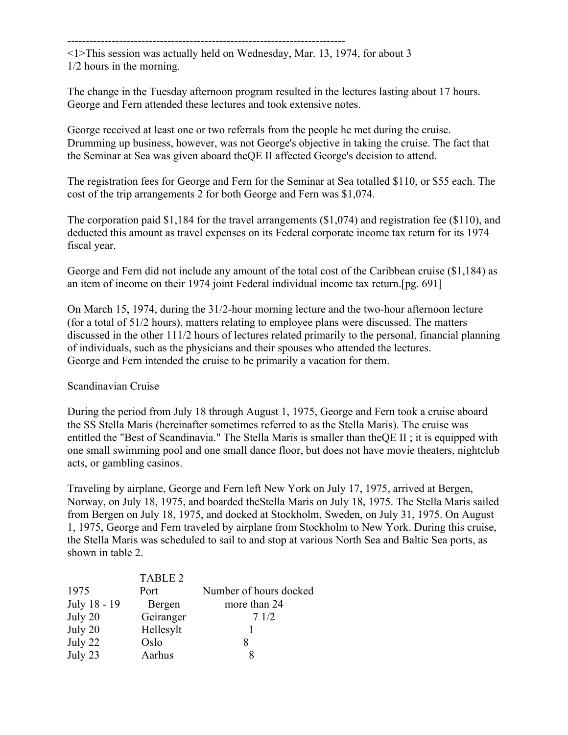---------------------------------------------------------------------------

<1>This session was actually held on Wednesday, Mar. 13, 1974, for about 3 1/2 hours in the morning.

The change in the Tuesday afternoon program resulted in the lectures lasting about 17 hours. George and Fern attended these lectures and took extensive notes.

George received at least one or two referrals from the people he met during the cruise. Drumming up business, however, was not George's objective in taking the cruise. The fact that the Seminar at Sea was given aboard theQE II affected George's decision to attend.

The registration fees for George and Fern for the Seminar at Sea totalled \$110, or \$55 each. The cost of the trip arrangements 2 for both George and Fern was \$1,074.

The corporation paid \$1,184 for the travel arrangements (\$1,074) and registration fee (\$110), and deducted this amount as travel expenses on its Federal corporate income tax return for its 1974 fiscal year.

George and Fern did not include any amount of the total cost of the Caribbean cruise (\$1,184) as an item of income on their 1974 joint Federal individual income tax return.[pg. 691]

On March 15, 1974, during the 31/2-hour morning lecture and the two-hour afternoon lecture (for a total of 51/2 hours), matters relating to employee plans were discussed. The matters discussed in the other 111/2 hours of lectures related primarily to the personal, financial planning of individuals, such as the physicians and their spouses who attended the lectures. George and Fern intended the cruise to be primarily a vacation for them.

Scandinavian Cruise

During the period from July 18 through August 1, 1975, George and Fern took a cruise aboard the SS Stella Maris (hereinafter sometimes referred to as the Stella Maris). The cruise was entitled the "Best of Scandinavia." The Stella Maris is smaller than theQE II ; it is equipped with one small swimming pool and one small dance floor, but does not have movie theaters, nightclub acts, or gambling casinos.

Traveling by airplane, George and Fern left New York on July 17, 1975, arrived at Bergen, Norway, on July 18, 1975, and boarded theStella Maris on July 18, 1975. The Stella Maris sailed from Bergen on July 18, 1975, and docked at Stockholm, Sweden, on July 31, 1975. On August 1, 1975, George and Fern traveled by airplane from Stockholm to New York. During this cruise, the Stella Maris was scheduled to sail to and stop at various North Sea and Baltic Sea ports, as shown in table 2.

| <b>TABLE 2</b> |                        |
|----------------|------------------------|
| Port           | Number of hours docked |
| Bergen         | more than 24           |
| Geiranger      | 71/2                   |
| Hellesylt      |                        |
| Oslo           | x                      |
| Aarhus         |                        |
|                |                        |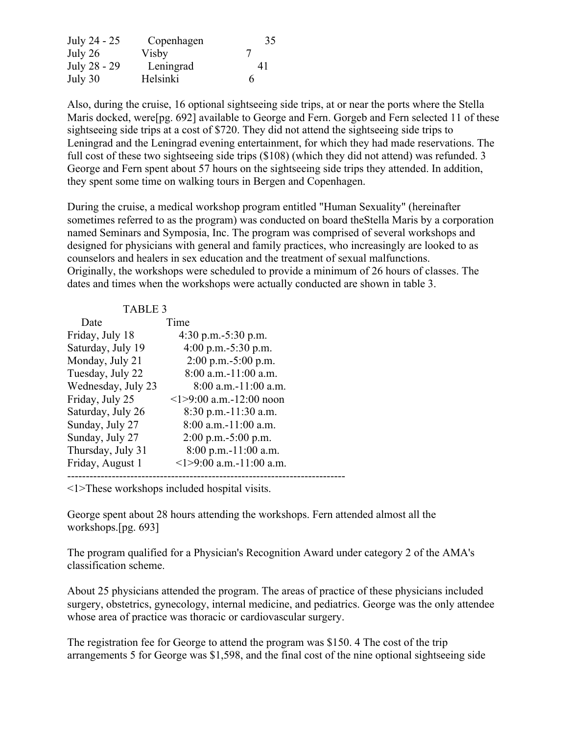| July 24 - 25 | Copenhagen | 35 |
|--------------|------------|----|
| July 26      | Visby      |    |
| July 28 - 29 | Leningrad  | 41 |
| July 30      | Helsinki   | h  |

Also, during the cruise, 16 optional sightseeing side trips, at or near the ports where the Stella Maris docked, were [pg. 692] available to George and Fern. Gorgeb and Fern selected 11 of these sightseeing side trips at a cost of \$720. They did not attend the sightseeing side trips to Leningrad and the Leningrad evening entertainment, for which they had made reservations. The full cost of these two sightseeing side trips (\$108) (which they did not attend) was refunded. 3 George and Fern spent about 57 hours on the sightseeing side trips they attended. In addition, they spent some time on walking tours in Bergen and Copenhagen.

During the cruise, a medical workshop program entitled "Human Sexuality" (hereinafter sometimes referred to as the program) was conducted on board theStella Maris by a corporation named Seminars and Symposia, Inc. The program was comprised of several workshops and designed for physicians with general and family practices, who increasingly are looked to as counselors and healers in sex education and the treatment of sexual malfunctions. Originally, the workshops were scheduled to provide a minimum of 26 hours of classes. The dates and times when the workshops were actually conducted are shown in table 3.

| <b>TABLE 3</b>     |                                |  |
|--------------------|--------------------------------|--|
| Date               | Time                           |  |
| Friday, July 18    | 4:30 p.m. $-5:30$ p.m.         |  |
| Saturday, July 19  | 4:00 p.m. $-5:30$ p.m.         |  |
| Monday, July 21    | $2:00$ p.m.-5:00 p.m.          |  |
| Tuesday, July 22   | $8:00$ a.m.-11:00 a.m.         |  |
| Wednesday, July 23 | $8:00$ a.m.-11:00 a.m.         |  |
| Friday, July 25    | $\leq$ 1>9:00 a.m.-12:00 noon  |  |
| Saturday, July 26  | $8:30$ p.m.-11:30 a.m.         |  |
| Sunday, July 27    | $8:00$ a.m.-11:00 a.m.         |  |
| Sunday, July 27    | $2:00$ p.m. $-5:00$ p.m.       |  |
| Thursday, July 31  | 8:00 p.m.-11:00 a.m.           |  |
| Friday, August 1   | $\leq$ 1>9:00 a.m. -11:00 a.m. |  |
|                    |                                |  |

<1>These workshops included hospital visits.

George spent about 28 hours attending the workshops. Fern attended almost all the workshops.[pg. 693]

The program qualified for a Physician's Recognition Award under category 2 of the AMA's classification scheme.

About 25 physicians attended the program. The areas of practice of these physicians included surgery, obstetrics, gynecology, internal medicine, and pediatrics. George was the only attendee whose area of practice was thoracic or cardiovascular surgery.

The registration fee for George to attend the program was \$150. 4 The cost of the trip arrangements 5 for George was \$1,598, and the final cost of the nine optional sightseeing side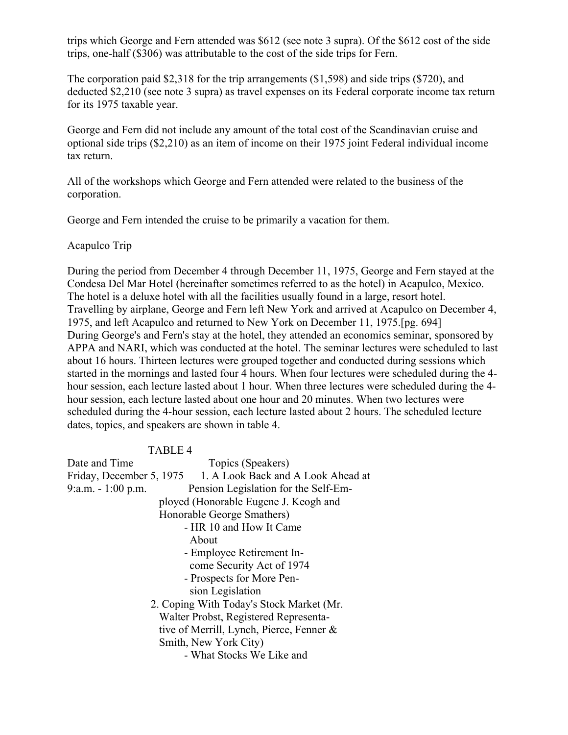trips which George and Fern attended was \$612 (see note 3 supra). Of the \$612 cost of the side trips, one-half (\$306) was attributable to the cost of the side trips for Fern.

The corporation paid \$2,318 for the trip arrangements (\$1,598) and side trips (\$720), and deducted \$2,210 (see note 3 supra) as travel expenses on its Federal corporate income tax return for its 1975 taxable year.

George and Fern did not include any amount of the total cost of the Scandinavian cruise and optional side trips (\$2,210) as an item of income on their 1975 joint Federal individual income tax return.

All of the workshops which George and Fern attended were related to the business of the corporation.

George and Fern intended the cruise to be primarily a vacation for them.

Acapulco Trip

During the period from December 4 through December 11, 1975, George and Fern stayed at the Condesa Del Mar Hotel (hereinafter sometimes referred to as the hotel) in Acapulco, Mexico. The hotel is a deluxe hotel with all the facilities usually found in a large, resort hotel. Travelling by airplane, George and Fern left New York and arrived at Acapulco on December 4, 1975, and left Acapulco and returned to New York on December 11, 1975.[pg. 694] During George's and Fern's stay at the hotel, they attended an economics seminar, sponsored by APPA and NARI, which was conducted at the hotel. The seminar lectures were scheduled to last about 16 hours. Thirteen lectures were grouped together and conducted during sessions which started in the mornings and lasted four 4 hours. When four lectures were scheduled during the 4 hour session, each lecture lasted about 1 hour. When three lectures were scheduled during the 4 hour session, each lecture lasted about one hour and 20 minutes. When two lectures were scheduled during the 4-hour session, each lecture lasted about 2 hours. The scheduled lecture dates, topics, and speakers are shown in table 4.

#### TABLE 4

| Date and Time                            | Topics (Speakers)                                           |  |
|------------------------------------------|-------------------------------------------------------------|--|
|                                          | Friday, December 5, 1975 1. A Look Back and A Look Ahead at |  |
| $9: a.m. - 1:00 p.m.$                    | Pension Legislation for the Self-Em-                        |  |
|                                          | ployed (Honorable Eugene J. Keogh and                       |  |
| Honorable George Smathers)               |                                                             |  |
|                                          | - HR 10 and How It Came                                     |  |
| About                                    |                                                             |  |
| - Employee Retirement In-                |                                                             |  |
| come Security Act of 1974                |                                                             |  |
| - Prospects for More Pen-                |                                                             |  |
| sion Legislation                         |                                                             |  |
| 2. Coping With Today's Stock Market (Mr. |                                                             |  |
| Walter Probst, Registered Representa-    |                                                             |  |
|                                          | tive of Merrill, Lynch, Pierce, Fenner &                    |  |
|                                          | Smith, New York City)                                       |  |
|                                          | - What Stocks We Like and                                   |  |
|                                          |                                                             |  |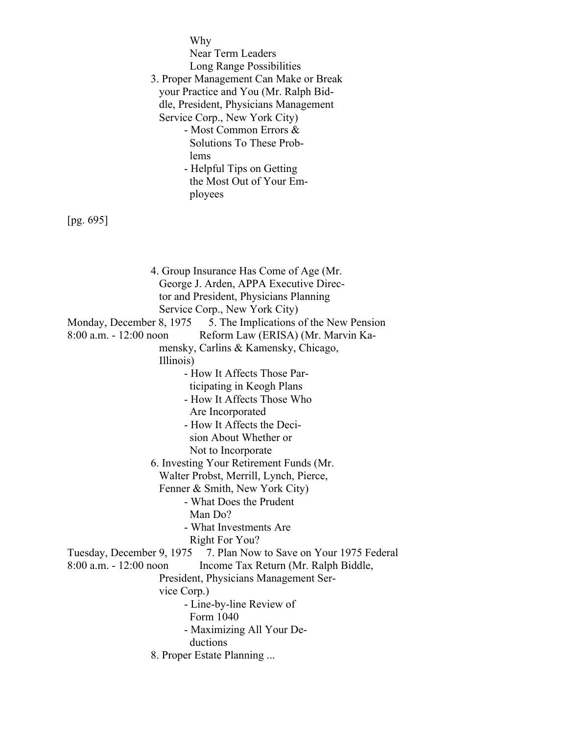Why Near Term Leaders Long Range Possibilities 3. Proper Management Can Make or Break your Practice and You (Mr. Ralph Bid dle, President, Physicians Management Service Corp., New York City) - Most Common Errors & Solutions To These Problems - Helpful Tips on Getting the Most Out of Your Em ployees

[pg. 695]

 4. Group Insurance Has Come of Age (Mr. George J. Arden, APPA Executive Direc tor and President, Physicians Planning Service Corp., New York City) Monday, December 8, 1975 5. The Implications of the New Pension 8:00 a.m. - 12:00 noon Reform Law (ERISA) (Mr. Marvin Ka mensky, Carlins & Kamensky, Chicago, Illinois) - How It Affects Those Par ticipating in Keogh Plans - How It Affects Those Who Are Incorporated - How It Affects the Deci sion About Whether or Not to Incorporate 6. Investing Your Retirement Funds (Mr. Walter Probst, Merrill, Lynch, Pierce, Fenner & Smith, New York City) - What Does the Prudent Man Do? - What Investments Are Right For You? Tuesday, December 9, 1975 7. Plan Now to Save on Your 1975 Federal 8:00 a.m. - 12:00 noon Income Tax Return (Mr. Ralph Biddle, President, Physicians Management Ser vice Corp.) - Line-by-line Review of Form 1040 - Maximizing All Your De ductions

8. Proper Estate Planning ...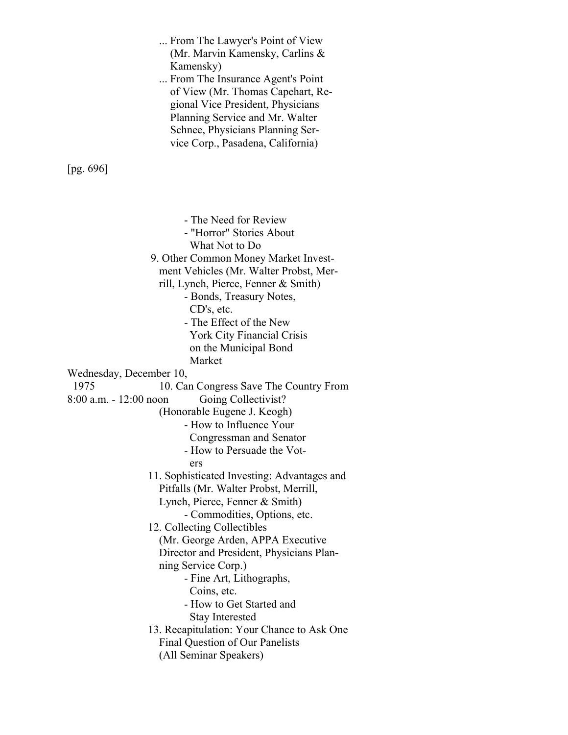... From The Lawyer's Point of View (Mr. Marvin Kamensky, Carlins & Kamensky) ... From The Insurance Agent's Point of View (Mr. Thomas Capehart, Re gional Vice President, Physicians Planning Service and Mr. Walter Schnee, Physicians Planning Ser vice Corp., Pasadena, California) [pg. 696] - The Need for Review - "Horror" Stories About What Not to Do 9. Other Common Money Market Invest ment Vehicles (Mr. Walter Probst, Mer rill, Lynch, Pierce, Fenner & Smith) - Bonds, Treasury Notes, CD's, etc. - The Effect of the New York City Financial Crisis on the Municipal Bond Market Wednesday, December 10, 1975 10. Can Congress Save The Country From 8:00 a.m. - 12:00 noon Going Collectivist? (Honorable Eugene J. Keogh) - How to Influence Your Congressman and Senator - How to Persuade the Vot ers 11. Sophisticated Investing: Advantages and Pitfalls (Mr. Walter Probst, Merrill, Lynch, Pierce, Fenner & Smith) - Commodities, Options, etc. 12. Collecting Collectibles (Mr. George Arden, APPA Executive Director and President, Physicians Plan ning Service Corp.) - Fine Art, Lithographs, Coins, etc. - How to Get Started and Stay Interested 13. Recapitulation: Your Chance to Ask One Final Question of Our Panelists (All Seminar Speakers)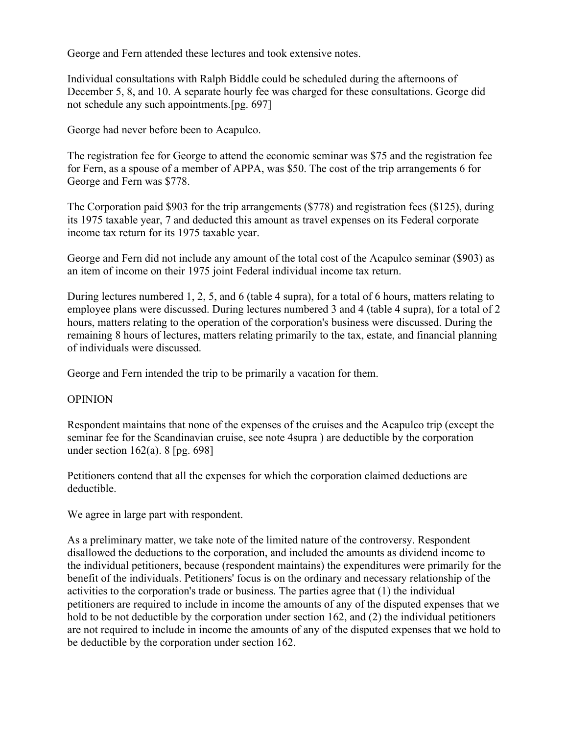George and Fern attended these lectures and took extensive notes.

Individual consultations with Ralph Biddle could be scheduled during the afternoons of December 5, 8, and 10. A separate hourly fee was charged for these consultations. George did not schedule any such appointments.[pg. 697]

George had never before been to Acapulco.

The registration fee for George to attend the economic seminar was \$75 and the registration fee for Fern, as a spouse of a member of APPA, was \$50. The cost of the trip arrangements 6 for George and Fern was \$778.

The Corporation paid \$903 for the trip arrangements (\$778) and registration fees (\$125), during its 1975 taxable year, 7 and deducted this amount as travel expenses on its Federal corporate income tax return for its 1975 taxable year.

George and Fern did not include any amount of the total cost of the Acapulco seminar (\$903) as an item of income on their 1975 joint Federal individual income tax return.

During lectures numbered 1, 2, 5, and 6 (table 4 supra), for a total of 6 hours, matters relating to employee plans were discussed. During lectures numbered 3 and 4 (table 4 supra), for a total of 2 hours, matters relating to the operation of the corporation's business were discussed. During the remaining 8 hours of lectures, matters relating primarily to the tax, estate, and financial planning of individuals were discussed.

George and Fern intended the trip to be primarily a vacation for them.

# **OPINION**

Respondent maintains that none of the expenses of the cruises and the Acapulco trip (except the seminar fee for the Scandinavian cruise, see note 4supra ) are deductible by the corporation under section 162(a). 8 [pg. 698]

Petitioners contend that all the expenses for which the corporation claimed deductions are deductible.

We agree in large part with respondent.

As a preliminary matter, we take note of the limited nature of the controversy. Respondent disallowed the deductions to the corporation, and included the amounts as dividend income to the individual petitioners, because (respondent maintains) the expenditures were primarily for the benefit of the individuals. Petitioners' focus is on the ordinary and necessary relationship of the activities to the corporation's trade or business. The parties agree that (1) the individual petitioners are required to include in income the amounts of any of the disputed expenses that we hold to be not deductible by the corporation under section 162, and (2) the individual petitioners are not required to include in income the amounts of any of the disputed expenses that we hold to be deductible by the corporation under section 162.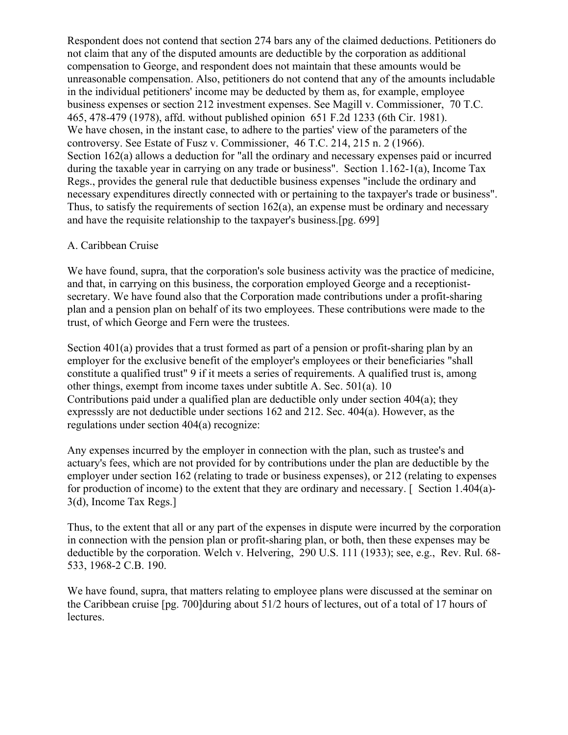Respondent does not contend that section 274 bars any of the claimed deductions. Petitioners do not claim that any of the disputed amounts are deductible by the corporation as additional compensation to George, and respondent does not maintain that these amounts would be unreasonable compensation. Also, petitioners do not contend that any of the amounts includable in the individual petitioners' income may be deducted by them as, for example, employee business expenses or section 212 investment expenses. See Magill v. Commissioner, 70 T.C. 465, 478-479 (1978), affd. without published opinion 651 F.2d 1233 (6th Cir. 1981). We have chosen, in the instant case, to adhere to the parties' view of the parameters of the controversy. See Estate of Fusz v. Commissioner, 46 T.C. 214, 215 n. 2 (1966). Section 162(a) allows a deduction for "all the ordinary and necessary expenses paid or incurred during the taxable year in carrying on any trade or business". Section 1.162-1(a), Income Tax Regs., provides the general rule that deductible business expenses "include the ordinary and necessary expenditures directly connected with or pertaining to the taxpayer's trade or business". Thus, to satisfy the requirements of section 162(a), an expense must be ordinary and necessary and have the requisite relationship to the taxpayer's business.[pg. 699]

# A. Caribbean Cruise

We have found, supra, that the corporation's sole business activity was the practice of medicine, and that, in carrying on this business, the corporation employed George and a receptionistsecretary. We have found also that the Corporation made contributions under a profit-sharing plan and a pension plan on behalf of its two employees. These contributions were made to the trust, of which George and Fern were the trustees.

Section 401(a) provides that a trust formed as part of a pension or profit-sharing plan by an employer for the exclusive benefit of the employer's employees or their beneficiaries "shall constitute a qualified trust" 9 if it meets a series of requirements. A qualified trust is, among other things, exempt from income taxes under subtitle A. Sec. 501(a). 10 Contributions paid under a qualified plan are deductible only under section 404(a); they expresssly are not deductible under sections 162 and 212. Sec. 404(a). However, as the regulations under section 404(a) recognize:

Any expenses incurred by the employer in connection with the plan, such as trustee's and actuary's fees, which are not provided for by contributions under the plan are deductible by the employer under section 162 (relating to trade or business expenses), or 212 (relating to expenses for production of income) to the extent that they are ordinary and necessary. [Section 1.404(a)-3(d), Income Tax Regs.]

Thus, to the extent that all or any part of the expenses in dispute were incurred by the corporation in connection with the pension plan or profit-sharing plan, or both, then these expenses may be deductible by the corporation. Welch v. Helvering, 290 U.S. 111 (1933); see, e.g., Rev. Rul. 68- 533, 1968-2 C.B. 190.

We have found, supra, that matters relating to employee plans were discussed at the seminar on the Caribbean cruise [pg. 700]during about 51/2 hours of lectures, out of a total of 17 hours of lectures.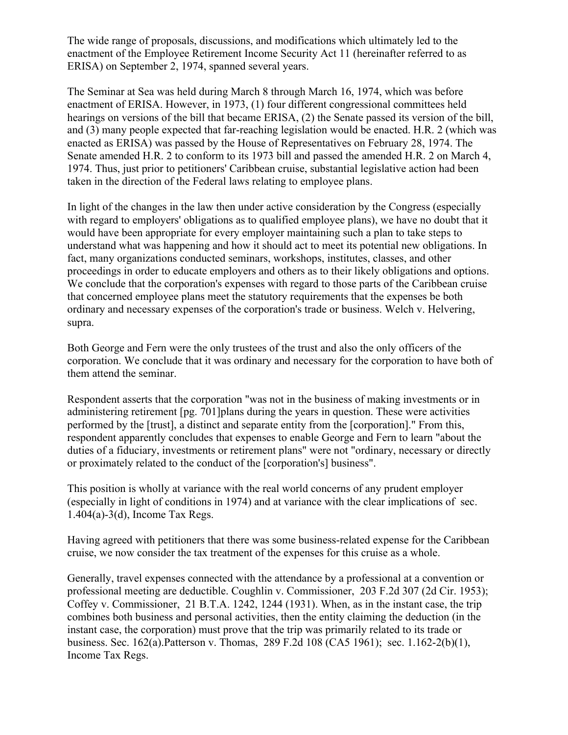The wide range of proposals, discussions, and modifications which ultimately led to the enactment of the Employee Retirement Income Security Act 11 (hereinafter referred to as ERISA) on September 2, 1974, spanned several years.

The Seminar at Sea was held during March 8 through March 16, 1974, which was before enactment of ERISA. However, in 1973, (1) four different congressional committees held hearings on versions of the bill that became ERISA, (2) the Senate passed its version of the bill, and (3) many people expected that far-reaching legislation would be enacted. H.R. 2 (which was enacted as ERISA) was passed by the House of Representatives on February 28, 1974. The Senate amended H.R. 2 to conform to its 1973 bill and passed the amended H.R. 2 on March 4, 1974. Thus, just prior to petitioners' Caribbean cruise, substantial legislative action had been taken in the direction of the Federal laws relating to employee plans.

In light of the changes in the law then under active consideration by the Congress (especially with regard to employers' obligations as to qualified employee plans), we have no doubt that it would have been appropriate for every employer maintaining such a plan to take steps to understand what was happening and how it should act to meet its potential new obligations. In fact, many organizations conducted seminars, workshops, institutes, classes, and other proceedings in order to educate employers and others as to their likely obligations and options. We conclude that the corporation's expenses with regard to those parts of the Caribbean cruise that concerned employee plans meet the statutory requirements that the expenses be both ordinary and necessary expenses of the corporation's trade or business. Welch v. Helvering, supra.

Both George and Fern were the only trustees of the trust and also the only officers of the corporation. We conclude that it was ordinary and necessary for the corporation to have both of them attend the seminar.

Respondent asserts that the corporation "was not in the business of making investments or in administering retirement [pg. 701]plans during the years in question. These were activities performed by the [trust], a distinct and separate entity from the [corporation]." From this, respondent apparently concludes that expenses to enable George and Fern to learn "about the duties of a fiduciary, investments or retirement plans" were not "ordinary, necessary or directly or proximately related to the conduct of the [corporation's] business".

This position is wholly at variance with the real world concerns of any prudent employer (especially in light of conditions in 1974) and at variance with the clear implications of sec. 1.404(a)-3(d), Income Tax Regs.

Having agreed with petitioners that there was some business-related expense for the Caribbean cruise, we now consider the tax treatment of the expenses for this cruise as a whole.

Generally, travel expenses connected with the attendance by a professional at a convention or professional meeting are deductible. Coughlin v. Commissioner, 203 F.2d 307 (2d Cir. 1953); Coffey v. Commissioner, 21 B.T.A. 1242, 1244 (1931). When, as in the instant case, the trip combines both business and personal activities, then the entity claiming the deduction (in the instant case, the corporation) must prove that the trip was primarily related to its trade or business. Sec. 162(a).Patterson v. Thomas, 289 F.2d 108 (CA5 1961); sec. 1.162-2(b)(1), Income Tax Regs.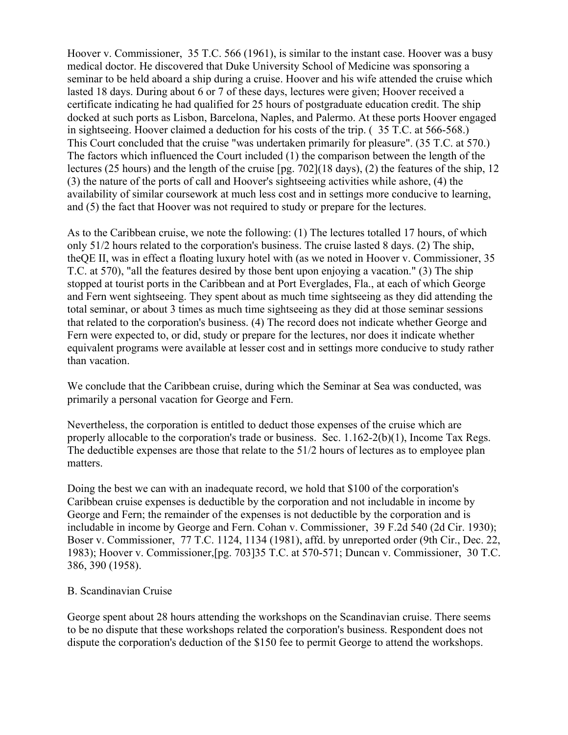Hoover v. Commissioner, 35 T.C. 566 (1961), is similar to the instant case. Hoover was a busy medical doctor. He discovered that Duke University School of Medicine was sponsoring a seminar to be held aboard a ship during a cruise. Hoover and his wife attended the cruise which lasted 18 days. During about 6 or 7 of these days, lectures were given; Hoover received a certificate indicating he had qualified for 25 hours of postgraduate education credit. The ship docked at such ports as Lisbon, Barcelona, Naples, and Palermo. At these ports Hoover engaged in sightseeing. Hoover claimed a deduction for his costs of the trip. ( 35 T.C. at 566-568.) This Court concluded that the cruise "was undertaken primarily for pleasure". (35 T.C. at 570.) The factors which influenced the Court included (1) the comparison between the length of the lectures (25 hours) and the length of the cruise [pg. 702](18 days), (2) the features of the ship, 12 (3) the nature of the ports of call and Hoover's sightseeing activities while ashore, (4) the availability of similar coursework at much less cost and in settings more conducive to learning, and (5) the fact that Hoover was not required to study or prepare for the lectures.

As to the Caribbean cruise, we note the following: (1) The lectures totalled 17 hours, of which only 51/2 hours related to the corporation's business. The cruise lasted 8 days. (2) The ship, theQE II, was in effect a floating luxury hotel with (as we noted in Hoover v. Commissioner, 35 T.C. at 570), "all the features desired by those bent upon enjoying a vacation." (3) The ship stopped at tourist ports in the Caribbean and at Port Everglades, Fla., at each of which George and Fern went sightseeing. They spent about as much time sightseeing as they did attending the total seminar, or about 3 times as much time sightseeing as they did at those seminar sessions that related to the corporation's business. (4) The record does not indicate whether George and Fern were expected to, or did, study or prepare for the lectures, nor does it indicate whether equivalent programs were available at lesser cost and in settings more conducive to study rather than vacation.

We conclude that the Caribbean cruise, during which the Seminar at Sea was conducted, was primarily a personal vacation for George and Fern.

Nevertheless, the corporation is entitled to deduct those expenses of the cruise which are properly allocable to the corporation's trade or business. Sec. 1.162-2(b)(1), Income Tax Regs. The deductible expenses are those that relate to the 51/2 hours of lectures as to employee plan matters.

Doing the best we can with an inadequate record, we hold that \$100 of the corporation's Caribbean cruise expenses is deductible by the corporation and not includable in income by George and Fern; the remainder of the expenses is not deductible by the corporation and is includable in income by George and Fern. Cohan v. Commissioner, 39 F.2d 540 (2d Cir. 1930); Boser v. Commissioner, 77 T.C. 1124, 1134 (1981), affd. by unreported order (9th Cir., Dec. 22, 1983); Hoover v. Commissioner,[pg. 703]35 T.C. at 570-571; Duncan v. Commissioner, 30 T.C. 386, 390 (1958).

# B. Scandinavian Cruise

George spent about 28 hours attending the workshops on the Scandinavian cruise. There seems to be no dispute that these workshops related the corporation's business. Respondent does not dispute the corporation's deduction of the \$150 fee to permit George to attend the workshops.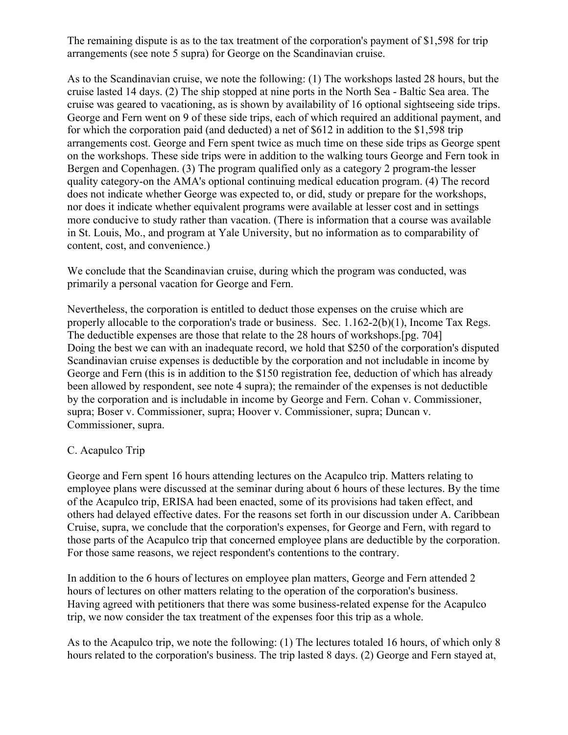The remaining dispute is as to the tax treatment of the corporation's payment of \$1,598 for trip arrangements (see note 5 supra) for George on the Scandinavian cruise.

As to the Scandinavian cruise, we note the following: (1) The workshops lasted 28 hours, but the cruise lasted 14 days. (2) The ship stopped at nine ports in the North Sea - Baltic Sea area. The cruise was geared to vacationing, as is shown by availability of 16 optional sightseeing side trips. George and Fern went on 9 of these side trips, each of which required an additional payment, and for which the corporation paid (and deducted) a net of \$612 in addition to the \$1,598 trip arrangements cost. George and Fern spent twice as much time on these side trips as George spent on the workshops. These side trips were in addition to the walking tours George and Fern took in Bergen and Copenhagen. (3) The program qualified only as a category 2 program-the lesser quality category-on the AMA's optional continuing medical education program. (4) The record does not indicate whether George was expected to, or did, study or prepare for the workshops, nor does it indicate whether equivalent programs were available at lesser cost and in settings more conducive to study rather than vacation. (There is information that a course was available in St. Louis, Mo., and program at Yale University, but no information as to comparability of content, cost, and convenience.)

We conclude that the Scandinavian cruise, during which the program was conducted, was primarily a personal vacation for George and Fern.

Nevertheless, the corporation is entitled to deduct those expenses on the cruise which are properly allocable to the corporation's trade or business. Sec. 1.162-2(b)(1), Income Tax Regs. The deductible expenses are those that relate to the 28 hours of workshops.[pg. 704] Doing the best we can with an inadequate record, we hold that \$250 of the corporation's disputed Scandinavian cruise expenses is deductible by the corporation and not includable in income by George and Fern (this is in addition to the \$150 registration fee, deduction of which has already been allowed by respondent, see note 4 supra); the remainder of the expenses is not deductible by the corporation and is includable in income by George and Fern. Cohan v. Commissioner, supra; Boser v. Commissioner, supra; Hoover v. Commissioner, supra; Duncan v. Commissioner, supra.

# C. Acapulco Trip

George and Fern spent 16 hours attending lectures on the Acapulco trip. Matters relating to employee plans were discussed at the seminar during about 6 hours of these lectures. By the time of the Acapulco trip, ERISA had been enacted, some of its provisions had taken effect, and others had delayed effective dates. For the reasons set forth in our discussion under A. Caribbean Cruise, supra, we conclude that the corporation's expenses, for George and Fern, with regard to those parts of the Acapulco trip that concerned employee plans are deductible by the corporation. For those same reasons, we reject respondent's contentions to the contrary.

In addition to the 6 hours of lectures on employee plan matters, George and Fern attended 2 hours of lectures on other matters relating to the operation of the corporation's business. Having agreed with petitioners that there was some business-related expense for the Acapulco trip, we now consider the tax treatment of the expenses foor this trip as a whole.

As to the Acapulco trip, we note the following: (1) The lectures totaled 16 hours, of which only 8 hours related to the corporation's business. The trip lasted 8 days. (2) George and Fern stayed at,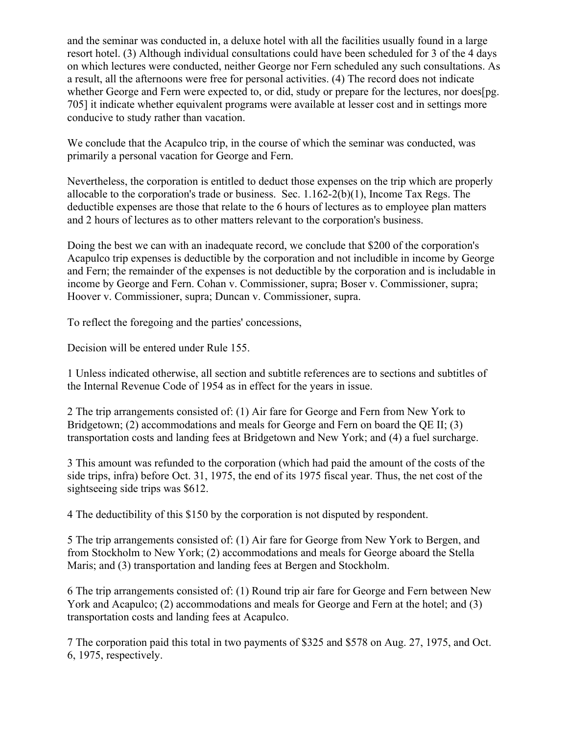and the seminar was conducted in, a deluxe hotel with all the facilities usually found in a large resort hotel. (3) Although individual consultations could have been scheduled for 3 of the 4 days on which lectures were conducted, neither George nor Fern scheduled any such consultations. As a result, all the afternoons were free for personal activities. (4) The record does not indicate whether George and Fern were expected to, or did, study or prepare for the lectures, nor does[pg. 705] it indicate whether equivalent programs were available at lesser cost and in settings more conducive to study rather than vacation.

We conclude that the Acapulco trip, in the course of which the seminar was conducted, was primarily a personal vacation for George and Fern.

Nevertheless, the corporation is entitled to deduct those expenses on the trip which are properly allocable to the corporation's trade or business. Sec. 1.162-2(b)(1), Income Tax Regs. The deductible expenses are those that relate to the 6 hours of lectures as to employee plan matters and 2 hours of lectures as to other matters relevant to the corporation's business.

Doing the best we can with an inadequate record, we conclude that \$200 of the corporation's Acapulco trip expenses is deductible by the corporation and not includible in income by George and Fern; the remainder of the expenses is not deductible by the corporation and is includable in income by George and Fern. Cohan v. Commissioner, supra; Boser v. Commissioner, supra; Hoover v. Commissioner, supra; Duncan v. Commissioner, supra.

To reflect the foregoing and the parties' concessions,

Decision will be entered under Rule 155.

1 Unless indicated otherwise, all section and subtitle references are to sections and subtitles of the Internal Revenue Code of 1954 as in effect for the years in issue.

2 The trip arrangements consisted of: (1) Air fare for George and Fern from New York to Bridgetown; (2) accommodations and meals for George and Fern on board the OE II; (3) transportation costs and landing fees at Bridgetown and New York; and (4) a fuel surcharge.

3 This amount was refunded to the corporation (which had paid the amount of the costs of the side trips, infra) before Oct. 31, 1975, the end of its 1975 fiscal year. Thus, the net cost of the sightseeing side trips was \$612.

4 The deductibility of this \$150 by the corporation is not disputed by respondent.

5 The trip arrangements consisted of: (1) Air fare for George from New York to Bergen, and from Stockholm to New York; (2) accommodations and meals for George aboard the Stella Maris; and (3) transportation and landing fees at Bergen and Stockholm.

6 The trip arrangements consisted of: (1) Round trip air fare for George and Fern between New York and Acapulco; (2) accommodations and meals for George and Fern at the hotel; and (3) transportation costs and landing fees at Acapulco.

7 The corporation paid this total in two payments of \$325 and \$578 on Aug. 27, 1975, and Oct. 6, 1975, respectively.